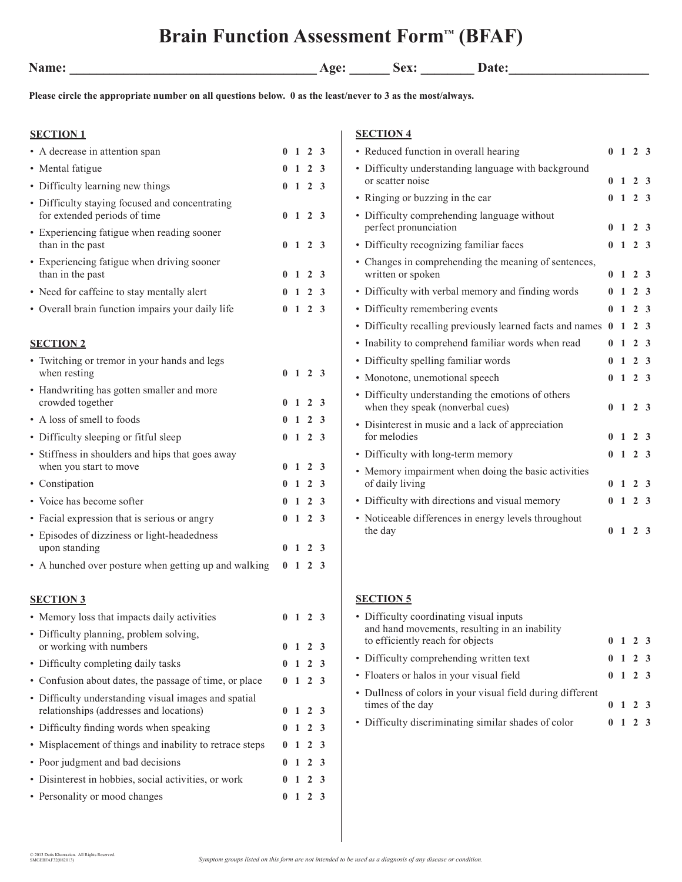## **Brain Function Assessment Form™ (BFAF)**

**Name: \_\_\_\_\_\_\_\_\_\_\_\_\_\_\_\_\_\_\_\_\_\_\_\_\_\_\_\_\_\_\_\_\_\_\_\_\_ Age: \_\_\_\_\_\_ Sex: \_\_\_\_\_\_\_\_ Date:\_\_\_\_\_\_\_\_\_\_\_\_\_\_\_\_\_\_\_\_\_** 

**Please circle the appropriate number on all questions below. 0 as the least/never to 3 as the most/always.**

| <b>SECTION 1</b>                                                                                |                 |  | <b>SECTION 4</b>                                                                      |                 |                 |                  |  |
|-------------------------------------------------------------------------------------------------|-----------------|--|---------------------------------------------------------------------------------------|-----------------|-----------------|------------------|--|
| • A decrease in attention span                                                                  | $0 \t1 \t2 \t3$ |  | • Reduced function in overall hearing                                                 | $0 \t1 \t2 \t3$ |                 |                  |  |
| • Mental fatigue                                                                                | $0 \t1 \t2 \t3$ |  | • Difficulty understanding language with background                                   |                 |                 |                  |  |
| • Difficulty learning new things                                                                | $0 \t1 \t2 \t3$ |  | or scatter noise                                                                      | 0 <sub>1</sub>  |                 | 2 <sub>3</sub>   |  |
| • Difficulty staying focused and concentrating                                                  |                 |  | • Ringing or buzzing in the ear                                                       |                 | $0 \t1 \t2 \t3$ |                  |  |
| for extended periods of time                                                                    | $0 \t1 \t2 \t3$ |  | • Difficulty comprehending language without<br>perfect pronunciation                  | $\mathbf{0}$    | -1              | 2 3              |  |
| • Experiencing fatigue when reading sooner<br>than in the past                                  | $0 \t1 \t2 \t3$ |  | • Difficulty recognizing familiar faces                                               |                 | $0 \t1 \t2 \t3$ |                  |  |
| • Experiencing fatigue when driving sooner<br>than in the past                                  | $0 \t1 \t2 \t3$ |  | • Changes in comprehending the meaning of sentences,<br>written or spoken             | $\mathbf{0}$    | $\mathbf{1}$    | 2 <sub>3</sub>   |  |
| • Need for caffeine to stay mentally alert                                                      | $0 \t1 \t2 \t3$ |  | • Difficulty with verbal memory and finding words                                     | $\mathbf{0}$    | $\overline{1}$  | 2 <sub>3</sub>   |  |
| • Overall brain function impairs your daily life                                                | $0 \t1 \t2 \t3$ |  | • Difficulty remembering events                                                       | $0 \t1 \t2 \t3$ |                 |                  |  |
|                                                                                                 |                 |  | • Difficulty recalling previously learned facts and names 0 1 2 3                     |                 |                 |                  |  |
| <b>SECTION 2</b>                                                                                |                 |  | • Inability to comprehend familiar words when read                                    |                 | $0 \t1 \t2 \t3$ |                  |  |
| • Twitching or tremor in your hands and legs                                                    |                 |  | • Difficulty spelling familiar words                                                  | 0 <sub>1</sub>  |                 | 2 <sub>3</sub>   |  |
| when resting                                                                                    | $0 \t1 \t2 \t3$ |  | • Monotone, unemotional speech                                                        | $0 \t1 \t2 \t3$ |                 |                  |  |
| • Handwriting has gotten smaller and more<br>crowded together                                   | $0 \t1 \t2 \t3$ |  | • Difficulty understanding the emotions of others<br>when they speak (nonverbal cues) | $0 \t1 \t2 \t3$ |                 |                  |  |
| • A loss of smell to foods                                                                      | $0 \t1 \t2 \t3$ |  | • Disinterest in music and a lack of appreciation                                     |                 |                 |                  |  |
| • Difficulty sleeping or fitful sleep                                                           | $0 \t1 \t2 \t3$ |  | for melodies                                                                          | $0 \t1 \t2 \t3$ |                 |                  |  |
| • Stiffness in shoulders and hips that goes away                                                |                 |  | • Difficulty with long-term memory                                                    | $0 \t1 \t2 \t3$ |                 |                  |  |
| when you start to move                                                                          | $0 \t1 \t2 \t3$ |  | • Memory impairment when doing the basic activities                                   |                 |                 |                  |  |
| • Constipation                                                                                  | $0 \t1 \t2 \t3$ |  | of daily living                                                                       | $0 \t1 \t2 \t3$ |                 |                  |  |
| • Voice has become softer                                                                       | $0 \t1 \t2 \t3$ |  | • Difficulty with directions and visual memory                                        |                 | $0 \t1 \t2 \t3$ |                  |  |
| • Facial expression that is serious or angry                                                    | $0 \t1 \t2 \t3$ |  | • Noticeable differences in energy levels throughout<br>the day                       | $0 \t1 \t2 \t3$ |                 |                  |  |
| • Episodes of dizziness or light-headedness<br>upon standing                                    | $0 \t1 \t2 \t3$ |  |                                                                                       |                 |                 |                  |  |
| • A hunched over posture when getting up and walking                                            | $0 \t1 \t2 \t3$ |  |                                                                                       |                 |                 |                  |  |
| <b>SECTION 3</b>                                                                                |                 |  | <b>SECTION 5</b>                                                                      |                 |                 |                  |  |
| • Memory loss that impacts daily activities                                                     | $0 \t1 \t2 \t3$ |  | • Difficulty coordinating visual inputs                                               |                 |                 |                  |  |
| • Difficulty planning, problem solving,                                                         |                 |  | and hand movements, resulting in an inability                                         |                 |                 |                  |  |
| or working with numbers                                                                         | $0 \t1 \t2 \t3$ |  | to efficiently reach for objects                                                      | 0 <sub>1</sub>  |                 | $2 \overline{3}$ |  |
| • Difficulty completing daily tasks                                                             | $0 \t1 \t2 \t3$ |  | • Difficulty comprehending written text                                               | 0 <sub>1</sub>  |                 | $2 \overline{3}$ |  |
| • Confusion about dates, the passage of time, or place                                          | $0 \t1 \t2 \t3$ |  | • Floaters or halos in your visual field                                              | $0 \t1 \t2 \t3$ |                 |                  |  |
| • Difficulty understanding visual images and spatial<br>relationships (addresses and locations) | $0 \t1 \t2 \t3$ |  | • Dullness of colors in your visual field during different<br>times of the day        | $0 \t1 \t2 \t3$ |                 |                  |  |
| • Difficulty finding words when speaking                                                        | $0 \t1 \t2 \t3$ |  | • Difficulty discriminating similar shades of color                                   | $0 \t1 \t2 \t3$ |                 |                  |  |
| • Misplacement of things and inability to retrace steps                                         | $0 \t1 \t2 \t3$ |  |                                                                                       |                 |                 |                  |  |
| • Poor judgment and bad decisions                                                               | $0 \t1 \t2 \t3$ |  |                                                                                       |                 |                 |                  |  |
| • Disinterest in hobbies, social activities, or work                                            | $0 \t1 \t2 \t3$ |  |                                                                                       |                 |                 |                  |  |
| • Personality or mood changes                                                                   | $0 \t1 \t2 \t3$ |  |                                                                                       |                 |                 |                  |  |
|                                                                                                 |                 |  |                                                                                       |                 |                 |                  |  |